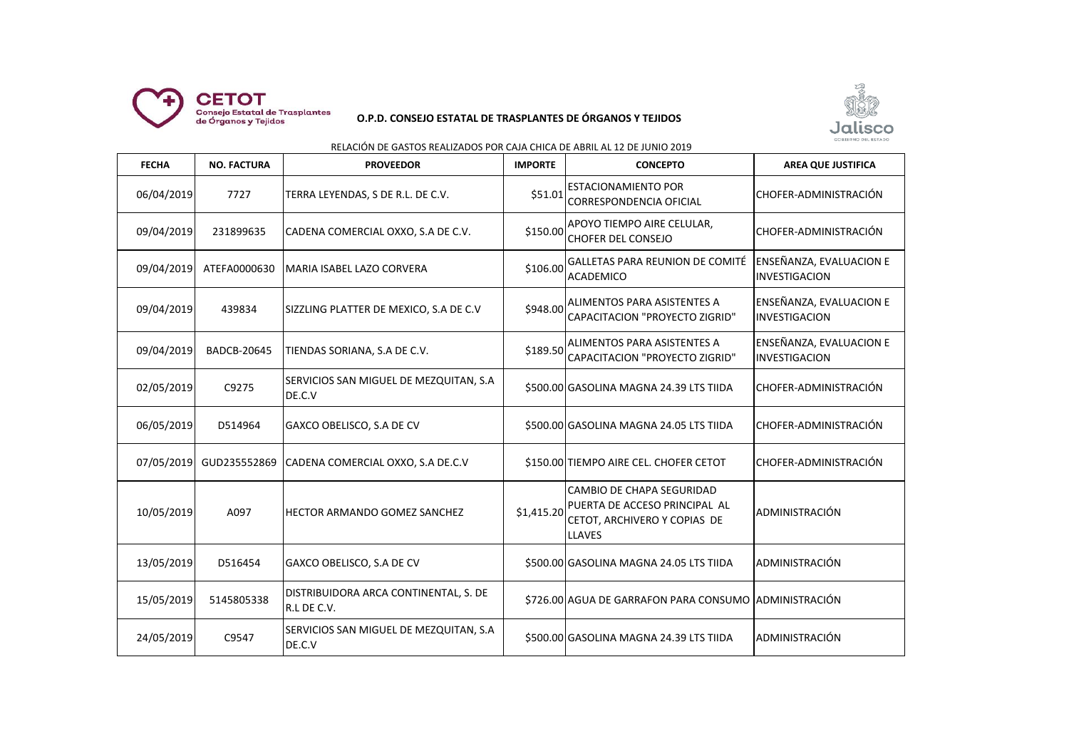

## **O.P.D. CONSEJO ESTATAL DE TRASPLANTES DE ÓRGANOS Y TEJIDOS**



## RELACIÓN DE GASTOS REALIZADOS POR CAJA CHICA DE ABRIL AL 12 DE JUNIO 2019

| <b>FECHA</b> | <b>NO. FACTURA</b> | <b>PROVEEDOR</b>                                     | <b>IMPORTE</b> | <b>CONCEPTO</b>                                                                                                    | <b>AREA QUE JUSTIFICA</b>                       |
|--------------|--------------------|------------------------------------------------------|----------------|--------------------------------------------------------------------------------------------------------------------|-------------------------------------------------|
| 06/04/2019   | 7727               | TERRA LEYENDAS, S DE R.L. DE C.V.                    | \$51.01        | <b>ESTACIONAMIENTO POR</b><br>CORRESPONDENCIA OFICIAL                                                              | CHOFER-ADMINISTRACIÓN                           |
| 09/04/2019   | 231899635          | CADENA COMERCIAL OXXO, S.A DE C.V.                   | \$150.00       | APOYO TIEMPO AIRE CELULAR,<br>CHOFER DEL CONSEJO                                                                   | CHOFER-ADMINISTRACIÓN                           |
| 09/04/2019   | ATEFA0000630       | MARIA ISABEL LAZO CORVERA                            | \$106.00       | GALLETAS PARA REUNION DE COMITÉ<br>ACADEMICO                                                                       | ENSEÑANZA, EVALUACION E<br>INVESTIGACION        |
| 09/04/2019   | 439834             | SIZZLING PLATTER DE MEXICO, S.A DE C.V               | \$948.00       | ALIMENTOS PARA ASISTENTES A<br>CAPACITACION "PROYECTO ZIGRID"                                                      | ENSEÑANZA, EVALUACION E<br><b>INVESTIGACION</b> |
| 09/04/2019   | <b>BADCB-20645</b> | TIENDAS SORIANA, S.A DE C.V.                         | \$189.50       | ALIMENTOS PARA ASISTENTES A<br>CAPACITACION "PROYECTO ZIGRID"                                                      | ENSEÑANZA, EVALUACION E<br>INVESTIGACION        |
| 02/05/2019   | C9275              | SERVICIOS SAN MIGUEL DE MEZQUITAN, S.A<br>DE.C.V     |                | \$500.00 GASOLINA MAGNA 24.39 LTS TIIDA                                                                            | CHOFER-ADMINISTRACIÓN                           |
| 06/05/2019   | D514964            | GAXCO OBELISCO, S.A DE CV                            |                | \$500.00 GASOLINA MAGNA 24.05 LTS TIIDA                                                                            | CHOFER-ADMINISTRACIÓN                           |
| 07/05/2019   | GUD235552869       | CADENA COMERCIAL OXXO, S.A DE.C.V                    |                | \$150.00 TIEMPO AIRE CEL. CHOFER CETOT                                                                             | CHOFER-ADMINISTRACIÓN                           |
| 10/05/2019   | A097               | IHECTOR ARMANDO GOMEZ SANCHEZ                        | \$1,415.20     | <b>CAMBIO DE CHAPA SEGURIDAD</b><br>PUERTA DE ACCESO PRINCIPAL AL<br>CETOT, ARCHIVERO Y COPIAS DE<br><b>LLAVES</b> | ADMINISTRACIÓN                                  |
| 13/05/2019   | D516454            | GAXCO OBELISCO, S.A DE CV                            |                | \$500.00 GASOLINA MAGNA 24.05 LTS TIIDA                                                                            | ADMINISTRACIÓN                                  |
| 15/05/2019   | 5145805338         | DISTRIBUIDORA ARCA CONTINENTAL, S. DE<br>R.L DE C.V. |                | \$726.00 AGUA DE GARRAFON PARA CONSUMO ADMINISTRACIÓN                                                              |                                                 |
| 24/05/2019   | C9547              | SERVICIOS SAN MIGUEL DE MEZQUITAN, S.A<br>DE.C.V     |                | \$500.00 GASOLINA MAGNA 24.39 LTS TIIDA                                                                            | ADMINISTRACIÓN                                  |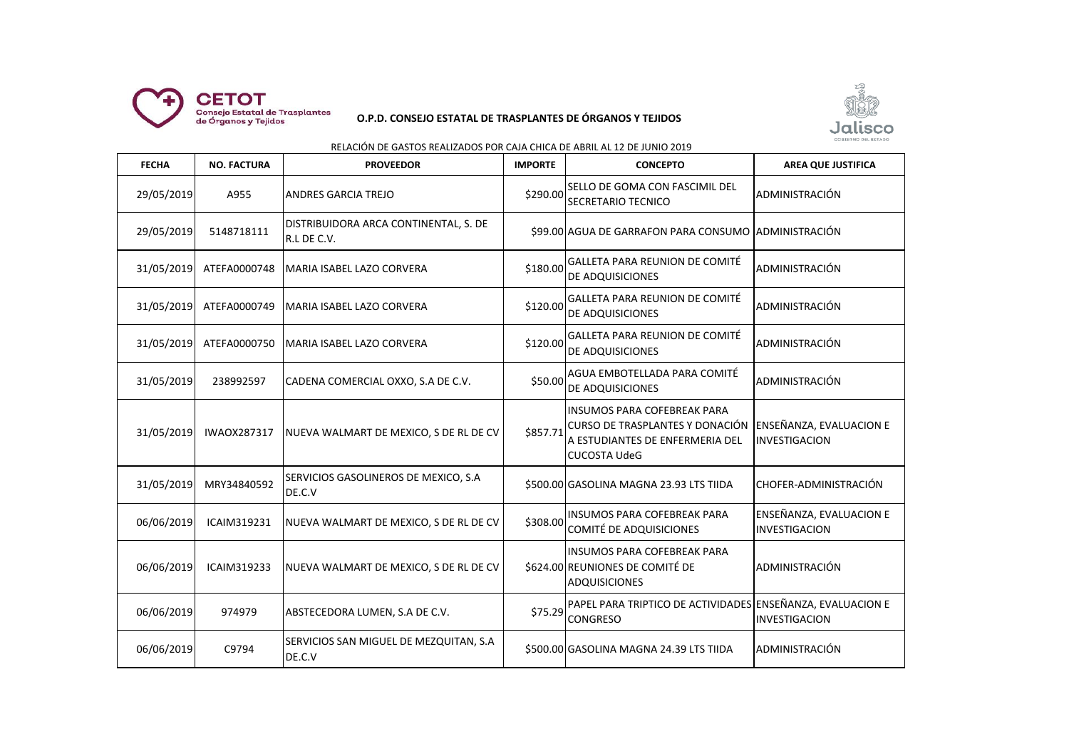

## **O.P.D. CONSEJO ESTATAL DE TRASPLANTES DE ÓRGANOS Y TEJIDOS**



# RELACIÓN DE GASTOS REALIZADOS POR CAJA CHICA DE ABRIL AL 12 DE JUNIO 2019

| <b>FECHA</b> | <b>NO. FACTURA</b> | <b>PROVEEDOR</b>                                     | <b>IMPORTE</b> | <b>CONCEPTO</b>                                                                                                                 | <b>AREA QUE JUSTIFICA</b>                       |
|--------------|--------------------|------------------------------------------------------|----------------|---------------------------------------------------------------------------------------------------------------------------------|-------------------------------------------------|
| 29/05/2019   | A955               | ANDRES GARCIA TREJO                                  | \$290.00       | SELLO DE GOMA CON FASCIMIL DEL<br>SECRETARIO TECNICO                                                                            | ADMINISTRACIÓN                                  |
| 29/05/2019   | 5148718111         | DISTRIBUIDORA ARCA CONTINENTAL, S. DE<br>R.L DE C.V. |                | \$99.00 AGUA DE GARRAFON PARA CONSUMO ADMINISTRACIÓN                                                                            |                                                 |
| 31/05/2019   | ATEFA0000748       | MARIA ISABEL LAZO CORVERA                            | \$180.00       | GALLETA PARA REUNION DE COMITÉ<br>DE ADQUISICIONES                                                                              | ADMINISTRACIÓN                                  |
| 31/05/2019   | ATEFA0000749       | IMARIA ISABEL LAZO CORVERA                           | \$120.00       | GALLETA PARA REUNION DE COMITÉ<br>DE ADQUISICIONES                                                                              | ADMINISTRACIÓN                                  |
| 31/05/2019   | ATEFA0000750       | MARIA ISABEL LAZO CORVERA                            | \$120.00       | <b>GALLETA PARA REUNION DE COMITÉ</b><br>DE ADQUISICIONES                                                                       | ADMINISTRACIÓN                                  |
| 31/05/2019   | 238992597          | CADENA COMERCIAL OXXO, S.A DE C.V.                   | \$50.00        | AGUA EMBOTELLADA PARA COMITÉ<br>DE ADQUISICIONES                                                                                | ADMINISTRACIÓN                                  |
| 31/05/2019   | <b>IWAOX287317</b> | NUEVA WALMART DE MEXICO, S DE RL DE CV               | \$857.71       | <b>INSUMOS PARA COFEBREAK PARA</b><br>CURSO DE TRASPLANTES Y DONACIÓN<br>A ESTUDIANTES DE ENFERMERIA DEL<br><b>CUCOSTA UdeG</b> | <b>ENSEÑANZA, EVALUACION E</b><br>INVESTIGACION |
| 31/05/2019   | MRY34840592        | SERVICIOS GASOLINEROS DE MEXICO, S.A<br>DE.C.V       |                | \$500.00 GASOLINA MAGNA 23.93 LTS TIIDA                                                                                         | CHOFER-ADMINISTRACIÓN                           |
| 06/06/2019   | ICAIM319231        | NUEVA WALMART DE MEXICO, S DE RL DE CV               | \$308.00       | INSUMOS PARA COFEBREAK PARA<br>COMITÉ DE ADQUISICIONES                                                                          | ENSEÑANZA, EVALUACION E<br>INVESTIGACION        |
| 06/06/2019   | ICAIM319233        | NUEVA WALMART DE MEXICO, S DE RL DE CV               |                | <b>INSUMOS PARA COFEBREAK PARA</b><br>\$624.00 REUNIONES DE COMITÉ DE<br><b>ADQUISICIONES</b>                                   | ADMINISTRACIÓN                                  |
| 06/06/2019   | 974979             | ABSTECEDORA LUMEN, S.A DE C.V.                       | \$75.29        | PAPEL PARA TRIPTICO DE ACTIVIDADES ENSEÑANZA, EVALUACION E<br><b>CONGRESO</b>                                                   | INVESTIGACION                                   |
| 06/06/2019   | C9794              | SERVICIOS SAN MIGUEL DE MEZQUITAN, S.A<br>DE.C.V     |                | \$500.00 GASOLINA MAGNA 24.39 LTS TIIDA                                                                                         | ADMINISTRACIÓN                                  |